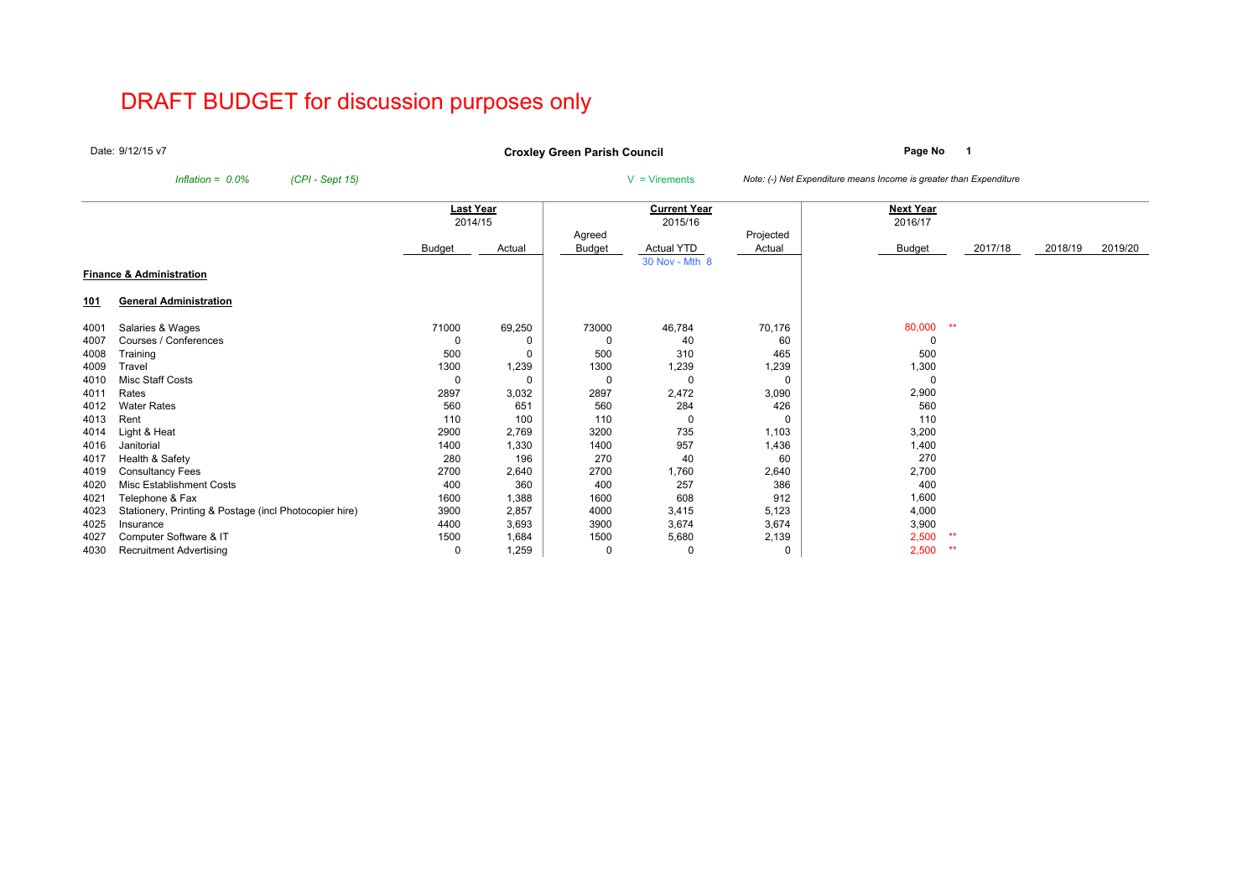# DRAFT BUDGET for discussion purposes only

Date: 9/12/15 v7

**Page No <sup>1</sup> Croxley Green Parish Council**

*Inflation = 0.0% (CPI - Sept 15)* <sup>V</sup> = Virements *Note: (-) Net Expenditure means Income is greater than Expenditure*

|            |                                                        | Last Year |        |        | <b>Current Year</b> |           | Next Year     |         |         |         |
|------------|--------------------------------------------------------|-----------|--------|--------|---------------------|-----------|---------------|---------|---------|---------|
|            |                                                        | 2014/15   |        |        | 2015/16             |           | 2016/17       |         |         |         |
|            |                                                        |           |        | Agreed |                     | Projected |               |         |         |         |
|            |                                                        | Budget    | Actual | Budget | <b>Actual YTD</b>   | Actual    | <b>Budget</b> | 2017/18 | 2018/19 | 2019/20 |
|            |                                                        |           |        |        | 30 Nov - Mth 8      |           |               |         |         |         |
|            | <b>Finance &amp; Administration</b>                    |           |        |        |                     |           |               |         |         |         |
| <u>101</u> | <b>General Administration</b>                          |           |        |        |                     |           |               |         |         |         |
| 4001       | Salaries & Wages                                       | 71000     | 69,250 | 73000  | 46,784              | 70,176    | 80,000<br>**  |         |         |         |
| 4007       | Courses / Conferences                                  |           | 0      |        | 40                  | 60        |               |         |         |         |
| 4008       | Training                                               | 500       | 0      | 500    | 310                 | 465       | 500           |         |         |         |
| 4009       | Travel                                                 | 1300      | 1,239  | 1300   | 1,239               | 1,239     | 1,300         |         |         |         |
| 4010       | Misc Staff Costs                                       | 0         | 0      |        |                     | $\Omega$  |               |         |         |         |
| 4011       | Rates                                                  | 2897      | 3,032  | 2897   | 2,472               | 3,090     | 2,900         |         |         |         |
| 4012       | <b>Water Rates</b>                                     | 560       | 651    | 560    | 284                 | 426       | 560           |         |         |         |
| 4013       | Rent                                                   | 110       | 100    | 110    |                     | 0         | 110           |         |         |         |
| 4014       | Light & Heat                                           | 2900      | 2,769  | 3200   | 735                 | 1,103     | 3,200         |         |         |         |
| 4016       | Janitorial                                             | 1400      | 1,330  | 1400   | 957                 | 1,436     | 1,400         |         |         |         |
| 4017       | Health & Safety                                        | 280       | 196    | 270    | 40                  | 60        | 270           |         |         |         |
| 4019       | <b>Consultancy Fees</b>                                | 2700      | 2,640  | 2700   | 1,760               | 2,640     | 2,700         |         |         |         |
| 4020       | Misc Establishment Costs                               | 400       | 360    | 400    | 257                 | 386       | 400           |         |         |         |
| 4021       | Telephone & Fax                                        | 1600      | 1,388  | 1600   | 608                 | 912       | 1,600         |         |         |         |
| 4023       | Stationery, Printing & Postage (incl Photocopier hire) | 3900      | 2,857  | 4000   | 3,415               | 5,123     | 4,000         |         |         |         |
| 4025       | Insurance                                              | 4400      | 3,693  | 3900   | 3,674               | 3,674     | 3,900         |         |         |         |
| 4027       | Computer Software & IT                                 | 1500      | 1,684  | 1500   | 5,680               | 2,139     | 2,500<br>**   |         |         |         |
| 4030       | <b>Recruitment Advertising</b>                         | 0         | 1,259  | 0      |                     | 0         | 2,500<br>**   |         |         |         |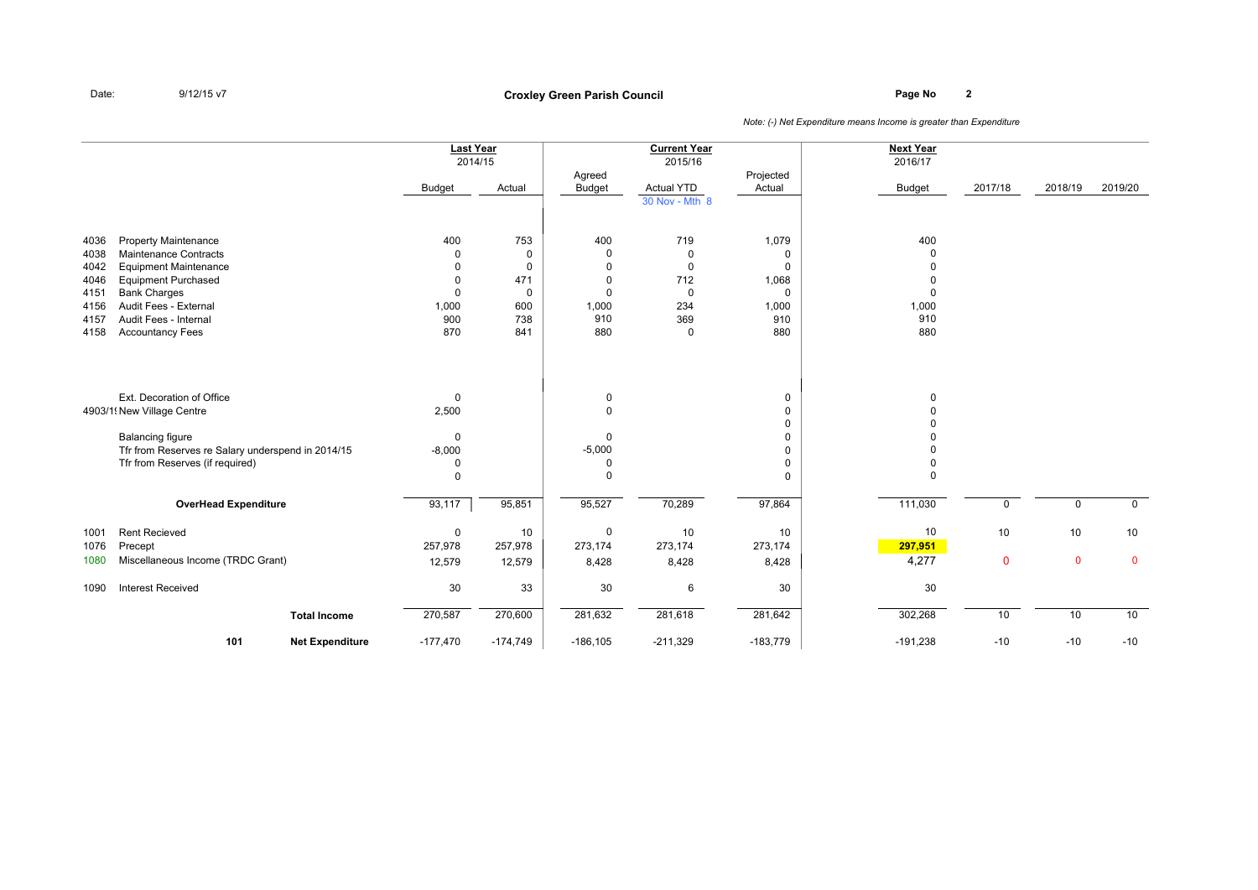# **Page No <sup>2</sup> Croxley Green Parish Council**

|                                                              |                                                                                                                                                                                                                        | <b>Last Year</b><br><b>Budget</b>                                   | 2014/15<br>Actual                                        | Agreed<br><b>Budget</b>                                      | <b>Current Year</b><br>2015/16<br><b>Actual YTD</b><br>30 Nov - Mth 8                | Projected<br>Actual                                            | <b>Next Year</b><br>2016/17<br><b>Budget</b> | 2017/18           | 2018/19           | 2019/20           |
|--------------------------------------------------------------|------------------------------------------------------------------------------------------------------------------------------------------------------------------------------------------------------------------------|---------------------------------------------------------------------|----------------------------------------------------------|--------------------------------------------------------------|--------------------------------------------------------------------------------------|----------------------------------------------------------------|----------------------------------------------|-------------------|-------------------|-------------------|
| 4036<br>4038<br>4042<br>4046<br>4151<br>4156<br>4157<br>4158 | <b>Property Maintenance</b><br>Maintenance Contracts<br><b>Equipment Maintenance</b><br><b>Equipment Purchased</b><br><b>Bank Charges</b><br>Audit Fees - External<br>Audit Fees - Internal<br><b>Accountancy Fees</b> | 400<br>0<br>$\Omega$<br>$\Omega$<br>$\Omega$<br>1,000<br>900<br>870 | 753<br>0<br>0<br>471<br>$\mathbf 0$<br>600<br>738<br>841 | 400<br>0<br>$\Omega$<br>$\Omega$<br>0<br>1,000<br>910<br>880 | 719<br>$\mathbf 0$<br>$\mathbf 0$<br>712<br>$\mathbf 0$<br>234<br>369<br>$\mathbf 0$ | 1,079<br>0<br>0<br>1,068<br>$\mathbf 0$<br>1,000<br>910<br>880 | 400<br>$\Omega$<br>1,000<br>910<br>880       |                   |                   |                   |
|                                                              | Ext. Decoration of Office<br>4903/1 New Village Centre<br><b>Balancing figure</b><br>Tfr from Reserves re Salary underspend in 2014/15<br>Tfr from Reserves (if required)                                              | $\mathbf 0$<br>2,500<br>0<br>$-8,000$<br>0<br>$\mathbf 0$           |                                                          | 0<br>$\Omega$<br>$\Omega$<br>$-5,000$<br>0<br>$\Omega$       |                                                                                      | 0<br>0<br>0<br>0<br>0<br>0<br>0                                | $\Omega$<br>$\Omega$                         |                   |                   |                   |
|                                                              | <b>OverHead Expenditure</b>                                                                                                                                                                                            | 93,117                                                              | 95,851                                                   | 95,527                                                       | 70,289                                                                               | 97,864                                                         | 111,030                                      | $\mathbf 0$       | $\mathbf 0$       | $\mathbf 0$       |
| 1001<br>1076<br>1080                                         | <b>Rent Recieved</b><br>Precept<br>Miscellaneous Income (TRDC Grant)                                                                                                                                                   | $\mathsf 0$<br>257,978<br>12,579                                    | 10<br>257,978<br>12,579                                  | 0<br>273,174<br>8,428                                        | 10<br>273,174<br>8,428                                                               | 10<br>273,174<br>8,428                                         | 10<br>297,951<br>4,277                       | 10<br>$\mathbf 0$ | 10<br>$\mathbf 0$ | 10<br>$\mathbf 0$ |
| 1090                                                         | <b>Interest Received</b>                                                                                                                                                                                               | $30\,$                                                              | 33                                                       | 30                                                           | 6                                                                                    | 30                                                             | 30                                           |                   |                   |                   |
|                                                              | <b>Total Income</b>                                                                                                                                                                                                    | 270,587                                                             | 270,600                                                  | 281,632                                                      | 281,618                                                                              | 281,642                                                        | 302,268                                      | 10                | 10                | 10                |
|                                                              | 101<br><b>Net Expenditure</b>                                                                                                                                                                                          | $-177,470$                                                          | $-174,749$                                               | $-186, 105$                                                  | $-211,329$                                                                           | $-183,779$                                                     | $-191,238$                                   | $-10$             | $-10$             | $-10$             |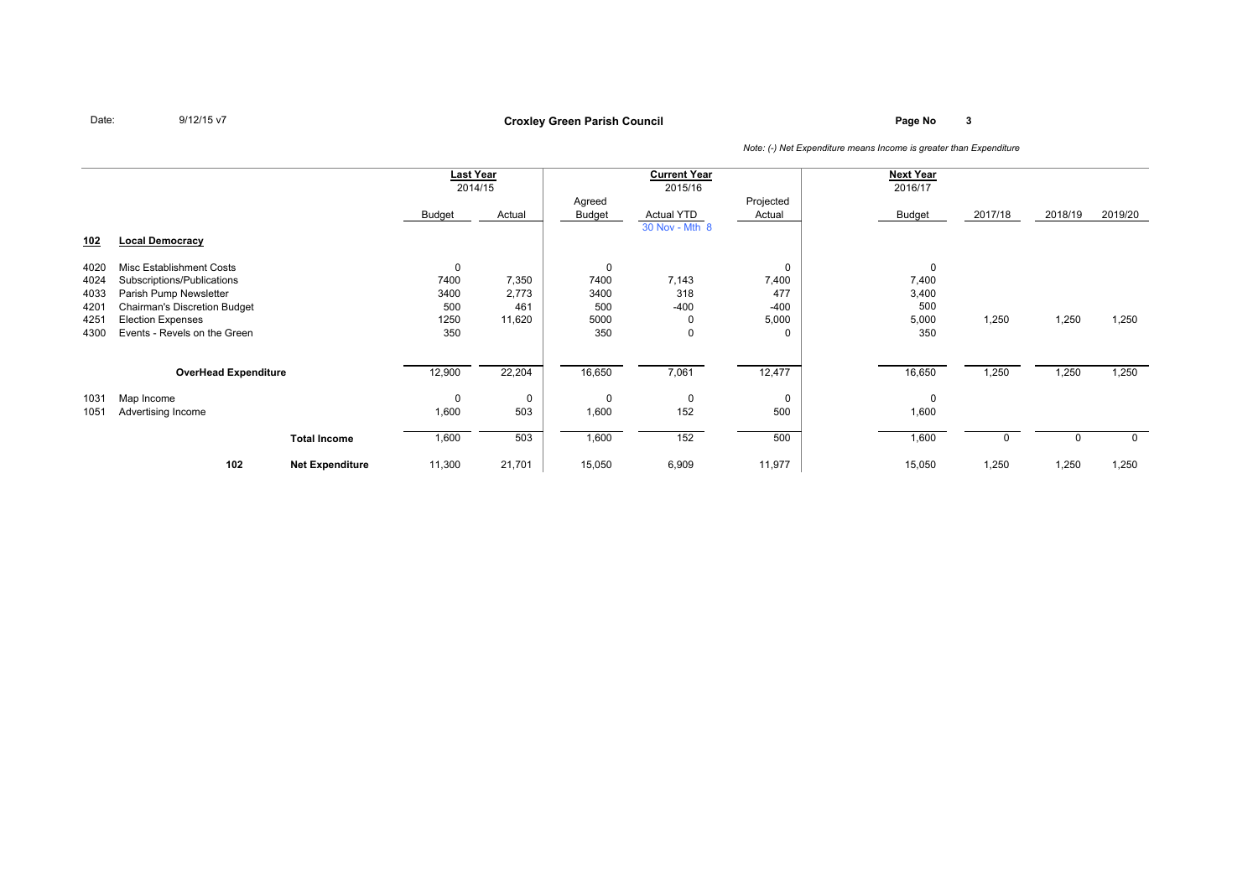### **Page No <sup>3</sup> Croxley Green Parish Council**

|            |                                     |                        | Last Year<br>2014/15 |        | <b>Current Year</b> |                   | <b>Next Year</b> |               |         |         |         |
|------------|-------------------------------------|------------------------|----------------------|--------|---------------------|-------------------|------------------|---------------|---------|---------|---------|
|            |                                     |                        |                      |        |                     | 2015/16           |                  | 2016/17       |         |         |         |
|            |                                     |                        |                      |        | Agreed              |                   | Projected        |               |         |         |         |
|            |                                     |                        | Budget               | Actual | <b>Budget</b>       | <b>Actual YTD</b> | Actual           | <b>Budget</b> | 2017/18 | 2018/19 | 2019/20 |
|            |                                     |                        |                      |        |                     | 30 Nov - Mth 8    |                  |               |         |         |         |
| <u>102</u> | <b>Local Democracy</b>              |                        |                      |        |                     |                   |                  |               |         |         |         |
|            |                                     |                        |                      |        |                     |                   |                  |               |         |         |         |
| 4020       | Misc Establishment Costs            |                        | 0                    |        | 0                   |                   | 0                |               |         |         |         |
| 4024       | Subscriptions/Publications          |                        | 7400                 | 7,350  | 7400                | 7,143             | 7,400            | 7,400         |         |         |         |
| 4033       | Parish Pump Newsletter              |                        | 3400                 | 2,773  | 3400                | 318               | 477              | 3,400         |         |         |         |
| 4201       | <b>Chairman's Discretion Budget</b> |                        | 500                  | 461    | 500                 | $-400$            | $-400$           | 500           |         |         |         |
| 4251       | <b>Election Expenses</b>            |                        | 1250                 | 11,620 | 5000                | 0                 | 5,000            | 5,000         | 1,250   | 1,250   | 1,250   |
| 4300       | Events - Revels on the Green        |                        | 350                  |        | 350                 | $\mathbf 0$       | 0                | 350           |         |         |         |
|            |                                     |                        |                      |        |                     |                   |                  |               |         |         |         |
|            |                                     |                        |                      |        |                     |                   |                  |               |         |         |         |
|            | <b>OverHead Expenditure</b>         |                        | 12,900               | 22,204 | 16,650              | 7,061             | 12,477           | 16,650        | 1,250   | 1,250   | 1,250   |
| 1031       | Map Income                          |                        | 0                    | 0      | 0                   | 0                 | 0                | $\Omega$      |         |         |         |
| 1051       | Advertising Income                  |                        | 1,600                | 503    | 1,600               | 152               | 500              | 1,600         |         |         |         |
|            |                                     |                        |                      |        |                     |                   |                  |               |         |         |         |
|            |                                     | <b>Total Income</b>    | 1,600                | 503    | 1,600               | 152               | 500              | 1,600         |         |         | 0       |
|            |                                     |                        |                      |        |                     |                   |                  |               |         |         |         |
|            | 102                                 | <b>Net Expenditure</b> | 11,300               | 21,701 | 15,050              | 6,909             | 11,977           | 15,050        | 1,250   | 1,250   | 1,250   |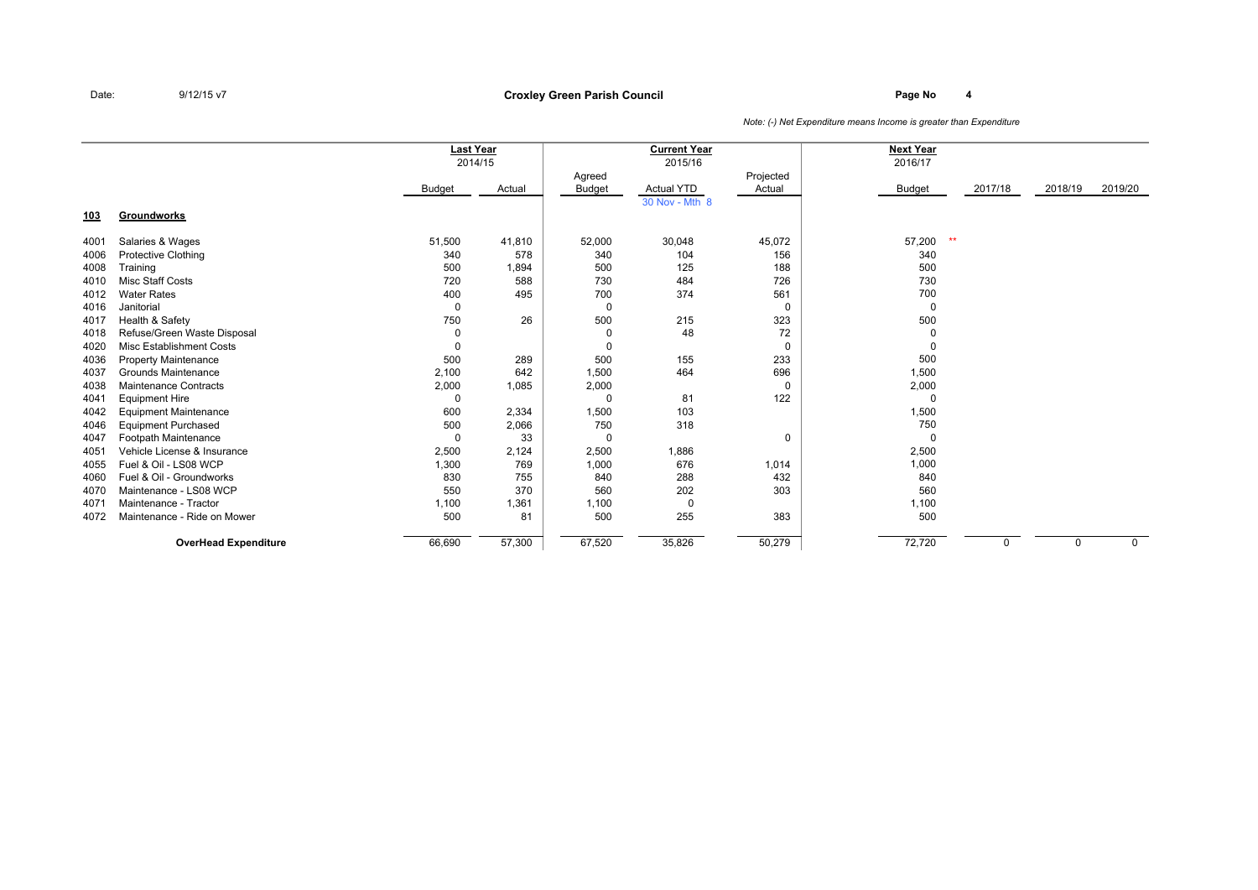### **Page No <sup>4</sup> Croxley Green Parish Council**

|            |                              | <b>Last Year</b> | 2014/15 |          | <b>Current Year</b><br>2015/16 |             | <b>Next Year</b><br>2016/17 |         |          |             |
|------------|------------------------------|------------------|---------|----------|--------------------------------|-------------|-----------------------------|---------|----------|-------------|
|            |                              |                  |         | Agreed   |                                | Projected   |                             |         |          |             |
|            |                              | Budget           | Actual  | Budget   | <b>Actual YTD</b>              | Actual      | Budget                      | 2017/18 | 2018/19  | 2019/20     |
|            |                              |                  |         |          | 30 Nov - Mth 8                 |             |                             |         |          |             |
| <u>103</u> | Groundworks                  |                  |         |          |                                |             |                             |         |          |             |
| 4001       | Salaries & Wages             | 51,500           | 41,810  | 52,000   | 30,048                         | 45,072      | $**$<br>57,200              |         |          |             |
| 4006       | <b>Protective Clothing</b>   | 340              | 578     | 340      | 104                            | 156         | 340                         |         |          |             |
| 4008       | Training                     | 500              | 1,894   | 500      | 125                            | 188         | 500                         |         |          |             |
| 4010       | Misc Staff Costs             | 720              | 588     | 730      | 484                            | 726         | 730                         |         |          |             |
| 4012       | <b>Water Rates</b>           | 400              | 495     | 700      | 374                            | 561         | 700                         |         |          |             |
| 4016       | Janitorial                   | 0                |         | 0        |                                | 0           | 0                           |         |          |             |
| 4017       | Health & Safety              | 750              | 26      | 500      | 215                            | 323         | 500                         |         |          |             |
| 4018       | Refuse/Green Waste Disposal  | 0                |         | 0        | 48                             | 72          | 0                           |         |          |             |
| 4020       | Misc Establishment Costs     | 0                |         | $\Omega$ |                                | $\mathbf 0$ | $\mathbf 0$                 |         |          |             |
| 4036       | <b>Property Maintenance</b>  | 500              | 289     | 500      | 155                            | 233         | 500                         |         |          |             |
| 4037       | Grounds Maintenance          | 2,100            | 642     | 1,500    | 464                            | 696         | 1,500                       |         |          |             |
| 4038       | Maintenance Contracts        | 2,000            | 1,085   | 2,000    |                                | 0           | 2,000                       |         |          |             |
| 4041       | <b>Equipment Hire</b>        | 0                |         | $\Omega$ | 81                             | 122         | $\Omega$                    |         |          |             |
| 4042       | <b>Equipment Maintenance</b> | 600              | 2,334   | 1,500    | 103                            |             | 1,500                       |         |          |             |
| 4046       | <b>Equipment Purchased</b>   | 500              | 2,066   | 750      | 318                            |             | 750                         |         |          |             |
| 4047       | Footpath Maintenance         | 0                | 33      | $\Omega$ |                                | 0           | $\Omega$                    |         |          |             |
| 4051       | Vehicle License & Insurance  | 2,500            | 2,124   | 2,500    | 1,886                          |             | 2,500                       |         |          |             |
| 4055       | Fuel & Oil - LS08 WCP        | 1,300            | 769     | 1,000    | 676                            | 1,014       | 1,000                       |         |          |             |
| 4060       | Fuel & Oil - Groundworks     | 830              | 755     | 840      | 288                            | 432         | 840                         |         |          |             |
| 4070       | Maintenance - LS08 WCP       | 550              | 370     | 560      | 202                            | 303         | 560                         |         |          |             |
| 4071       | Maintenance - Tractor        | 1,100            | 1,361   | 1,100    | 0                              |             | 1,100                       |         |          |             |
| 4072       | Maintenance - Ride on Mower  | 500              | 81      | 500      | 255                            | 383         | 500                         |         |          |             |
|            | <b>OverHead Expenditure</b>  | 66,690           | 57,300  | 67,520   | 35,826                         | 50,279      | 72,720                      | 0       | $\Omega$ | $\mathbf 0$ |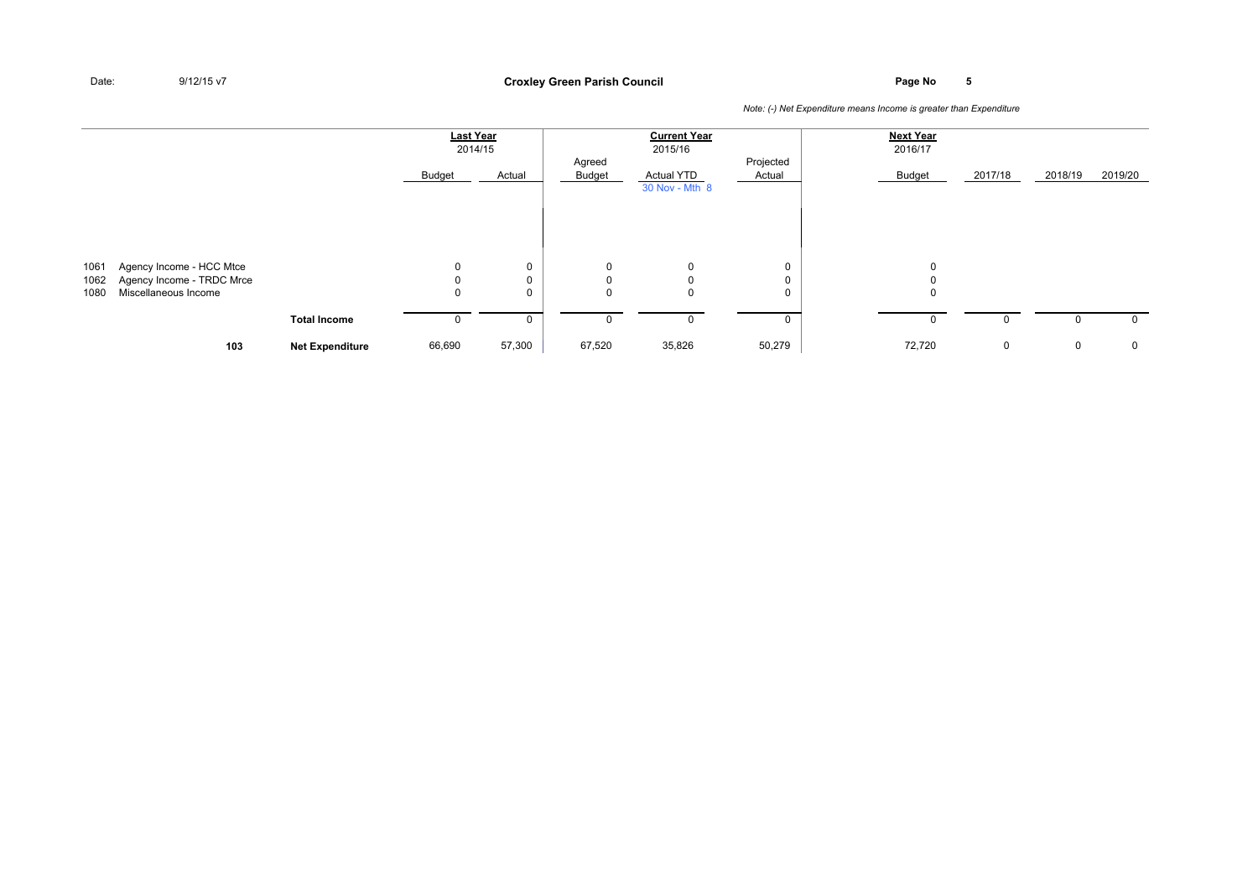### **Page No <sup>5</sup> Croxley Green Parish Council**

|                      |                                                                               |                        | Last Year             | 2014/15 |                       | <b>Current Year</b><br>2015/16      |                     | <b>Next Year</b><br>2016/17 |         |         |             |
|----------------------|-------------------------------------------------------------------------------|------------------------|-----------------------|---------|-----------------------|-------------------------------------|---------------------|-----------------------------|---------|---------|-------------|
|                      |                                                                               |                        | Budget                | Actual  | Agreed<br>Budget      | <b>Actual YTD</b><br>30 Nov - Mth 8 | Projected<br>Actual | Budget                      | 2017/18 | 2018/19 | 2019/20     |
|                      |                                                                               |                        |                       |         |                       |                                     |                     |                             |         |         |             |
| 1061<br>1062<br>1080 | Agency Income - HCC Mtce<br>Agency Income - TRDC Mrce<br>Miscellaneous Income |                        | $\mathbf 0$<br>0<br>0 | 0       | 0<br>$\mathbf 0$<br>0 | 0<br>0<br>0                         | 0<br>0<br>0         | $\Omega$<br>0               |         |         |             |
|                      |                                                                               | <b>Total Income</b>    | υ                     |         | 0                     | 0                                   | 0                   | 0                           |         |         | $\mathbf 0$ |
|                      | 103                                                                           | <b>Net Expenditure</b> | 66,690                | 57,300  | 67,520                | 35,826                              | 50,279              | 72,720                      | 0       | 0       | $\mathbf 0$ |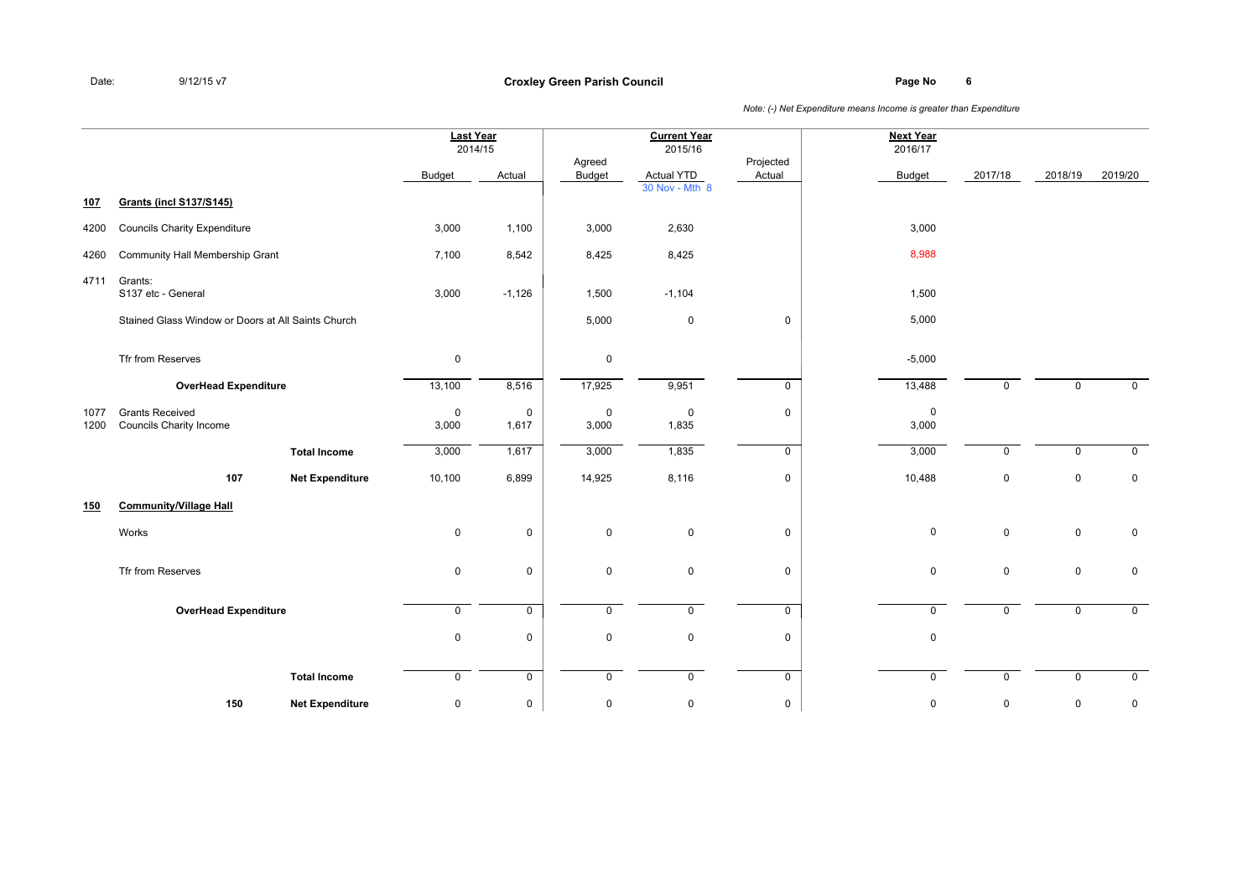### **Page No <sup>6</sup> Croxley Green Parish Council**

|              |                                                    |                        |                      | <b>Last Year</b><br>2014/15 |                  | <b>Current Year</b><br>2015/16      |                     | <b>Next Year</b><br>2016/17 |             |             |                |
|--------------|----------------------------------------------------|------------------------|----------------------|-----------------------------|------------------|-------------------------------------|---------------------|-----------------------------|-------------|-------------|----------------|
|              |                                                    |                        | Budget               | Actual                      | Agreed<br>Budget | <b>Actual YTD</b><br>30 Nov - Mth 8 | Projected<br>Actual | <b>Budget</b>               | 2017/18     | 2018/19     | 2019/20        |
| 107          | <b>Grants (incl S137/S145)</b>                     |                        |                      |                             |                  |                                     |                     |                             |             |             |                |
| 4200         | <b>Councils Charity Expenditure</b>                |                        | 3,000                | 1,100                       | 3,000            | 2,630                               |                     | 3,000                       |             |             |                |
| 4260         | Community Hall Membership Grant                    |                        | 7,100                | 8,542                       | 8,425            | 8,425                               |                     | 8,988                       |             |             |                |
| 4711         | Grants:<br>S137 etc - General                      |                        | 3,000                | $-1,126$                    | 1,500            | $-1,104$                            |                     | 1,500                       |             |             |                |
|              | Stained Glass Window or Doors at All Saints Church |                        |                      |                             | 5,000            | $\overline{0}$                      | 0                   | 5,000                       |             |             |                |
|              | Tfr from Reserves                                  |                        | $\mathsf 0$          |                             | 0                |                                     |                     | $-5,000$                    |             |             |                |
|              | <b>OverHead Expenditure</b>                        |                        | 13,100               | 8,516                       | 17,925           | 9,951                               | $\mathsf{O}$        | 13,488                      | $\Omega$    | $\mathbf 0$ | $\mathbf 0$    |
| 1077<br>1200 | <b>Grants Received</b><br>Councils Charity Income  |                        | $\mathbf 0$<br>3,000 | $\mathbf 0$<br>1,617        | 0<br>3,000       | $\overline{0}$<br>1,835             | 0                   | $\mathbf 0$<br>3,000        |             |             |                |
|              |                                                    | <b>Total Income</b>    | 3,000                | 1,617                       | 3,000            | 1,835                               | $\mathsf{O}$        | 3,000                       | $\Omega$    | $\mathbf 0$ | $\mathbf 0$    |
|              | 107                                                | <b>Net Expenditure</b> | 10,100               | 6,899                       | 14,925           | 8,116                               | 0                   | 10,488                      | $\mathbf 0$ | $\mathbf 0$ | $\mathbf 0$    |
| 150          | <b>Community/Village Hall</b>                      |                        |                      |                             |                  |                                     |                     |                             |             |             |                |
|              | Works                                              |                        | $\mathsf 0$          | $\mathbf 0$                 | $\mathsf{O}$     | $\mathbf 0$                         | 0                   | $\mathbf 0$                 | $\mathsf 0$ | $\mathsf 0$ | $\mathbf 0$    |
|              | Tfr from Reserves                                  |                        | 0                    | $\mathbf 0$                 | 0                | $\overline{0}$                      | 0                   | $\mathbf 0$                 | $\mathbf 0$ | $\mathbf 0$ | $\mathbf 0$    |
|              | <b>OverHead Expenditure</b>                        |                        | $\mathsf{O}$         | $\mathbf 0$                 | 0                | $\mathbf 0$                         | $\overline{0}$      | $\mathbf 0$                 | 0           | $\mathbf 0$ | $\overline{0}$ |
|              |                                                    |                        | $\mathsf 0$          | $\mathsf 0$                 | $\mathsf{O}$     | $\overline{0}$                      | 0                   | $\mathbf 0$                 |             |             |                |
|              |                                                    | <b>Total Income</b>    | $\mathsf{O}$         | $\mathbf 0$                 | $\mathsf{O}$     | $\mathbf 0$                         | $\mathbf 0$         | 0                           | $\Omega$    | 0           | $\mathbf 0$    |
|              | 150                                                | <b>Net Expenditure</b> | 0                    | $\mathsf 0$                 | 0                | $\pmb{0}$                           | 0                   | $\pmb{0}$                   | 0           | 0           | 0              |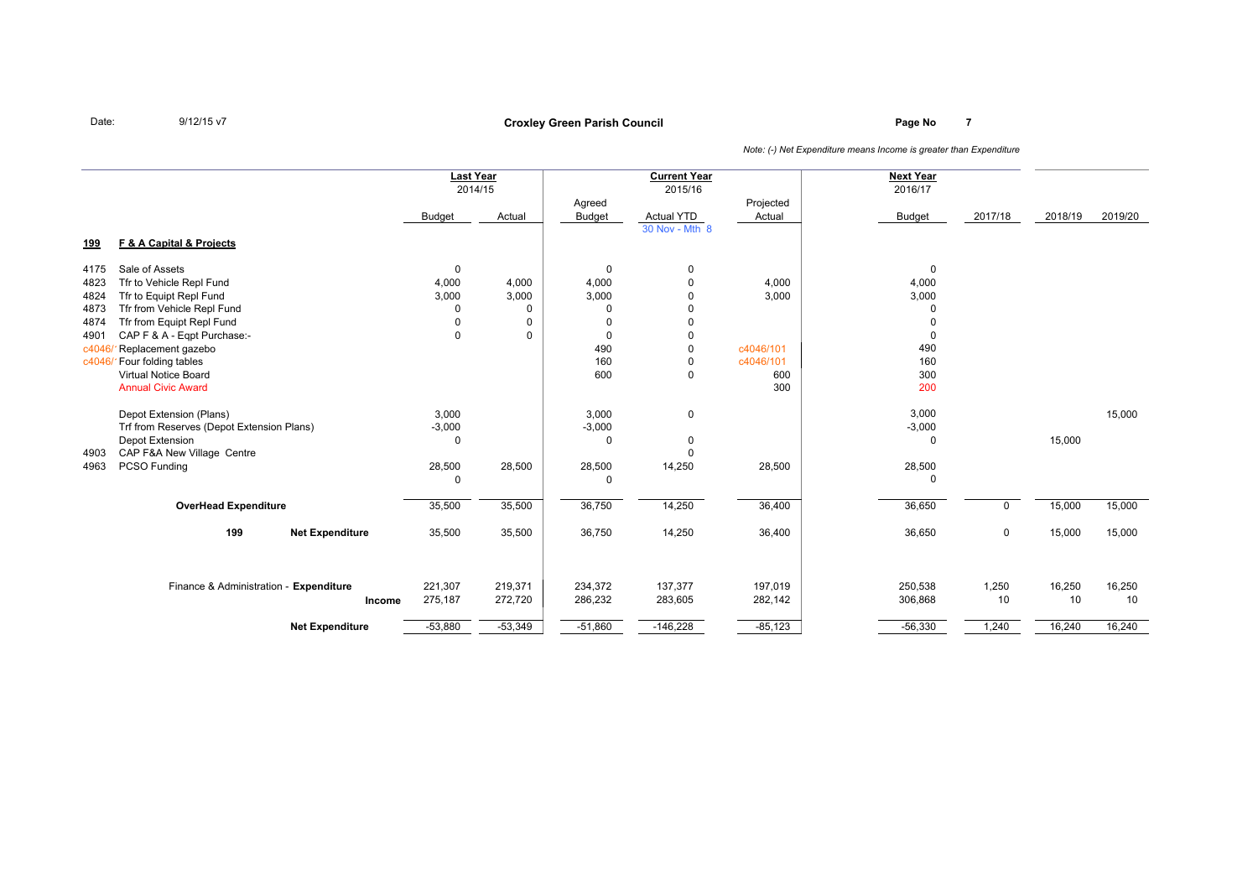# **Page No <sup>7</sup> Croxley Green Parish Council**

|                                                                 |                                                                                                                                                                                                                                                                          |                                                     | <b>Last Year</b><br>2014/15              |                                                                              | <b>Current Year</b><br>2015/16                                                                |                                                        | <b>Next Year</b><br>2016/17                                                     |             |              |              |
|-----------------------------------------------------------------|--------------------------------------------------------------------------------------------------------------------------------------------------------------------------------------------------------------------------------------------------------------------------|-----------------------------------------------------|------------------------------------------|------------------------------------------------------------------------------|-----------------------------------------------------------------------------------------------|--------------------------------------------------------|---------------------------------------------------------------------------------|-------------|--------------|--------------|
|                                                                 |                                                                                                                                                                                                                                                                          | <b>Budget</b>                                       | Actual                                   | Agreed<br>Budget                                                             | <b>Actual YTD</b>                                                                             | Projected<br>Actual                                    | <b>Budget</b>                                                                   | 2017/18     | 2018/19      | 2019/20      |
| <u>199</u>                                                      | F & A Capital & Projects                                                                                                                                                                                                                                                 |                                                     |                                          |                                                                              | 30 Nov - Mth 8                                                                                |                                                        |                                                                                 |             |              |              |
| 4175<br>4823<br>4824<br>4873<br>4874<br>4901<br>c4046<br>c4046/ | Sale of Assets<br>Tfr to Vehicle Repl Fund<br>Tfr to Equipt Repl Fund<br>Tfr from Vehicle Repl Fund<br>Tfr from Equipt Repl Fund<br>CAP F & A - Eqpt Purchase:-<br>Replacement gazebo<br>Four folding tables<br><b>Virtual Notice Board</b><br><b>Annual Civic Award</b> | 0<br>4,000<br>3,000<br>$\Omega$<br>0<br>$\mathbf 0$ | 4,000<br>3,000<br>0<br>0<br>$\mathbf{0}$ | $\Omega$<br>4,000<br>3,000<br>$\Omega$<br>$\Omega$<br>0<br>490<br>160<br>600 | 0<br>$\mathbf{0}$<br>0<br>0<br>0<br>$\mathbf 0$<br>$\mathbf{0}$<br>$\mathbf 0$<br>$\mathbf 0$ | 4,000<br>3,000<br>c4046/101<br>c4046/101<br>600<br>300 | $\mathbf 0$<br>4,000<br>3,000<br>$\Omega$<br>0<br>0<br>490<br>160<br>300<br>200 |             |              |              |
| 4903<br>4963                                                    | Depot Extension (Plans)<br>Trf from Reserves (Depot Extension Plans)<br>Depot Extension<br>CAP F&A New Village Centre<br>PCSO Funding                                                                                                                                    | 3,000<br>$-3,000$<br>0<br>28,500<br>0               | 28,500                                   | 3,000<br>$-3,000$<br>$\Omega$<br>28,500<br>$\Omega$                          | $\mathbf 0$<br>0<br>$\mathbf 0$<br>14,250                                                     | 28,500                                                 | 3,000<br>$-3,000$<br>0<br>28,500<br>0                                           |             | 15,000       | 15,000       |
|                                                                 | <b>OverHead Expenditure</b>                                                                                                                                                                                                                                              | 35,500                                              | 35,500                                   | 36,750                                                                       | 14,250                                                                                        | 36,400                                                 | 36,650                                                                          | 0           | 15,000       | 15,000       |
|                                                                 | 199<br><b>Net Expenditure</b>                                                                                                                                                                                                                                            | 35,500                                              | 35,500                                   | 36,750                                                                       | 14,250                                                                                        | 36,400                                                 | 36,650                                                                          | 0           | 15,000       | 15,000       |
|                                                                 | Finance & Administration - Expenditure<br>Income                                                                                                                                                                                                                         | 221,307<br>275,187                                  | 219,371<br>272,720                       | 234,372<br>286,232                                                           | 137,377<br>283,605                                                                            | 197,019<br>282,142                                     | 250,538<br>306,868                                                              | 1,250<br>10 | 16,250<br>10 | 16,250<br>10 |
|                                                                 | <b>Net Expenditure</b>                                                                                                                                                                                                                                                   | $-53,880$                                           | $-53,349$                                | $-51,860$                                                                    | $-146,228$                                                                                    | $-85,123$                                              | $-56,330$                                                                       | 1,240       | 16,240       | 16,240       |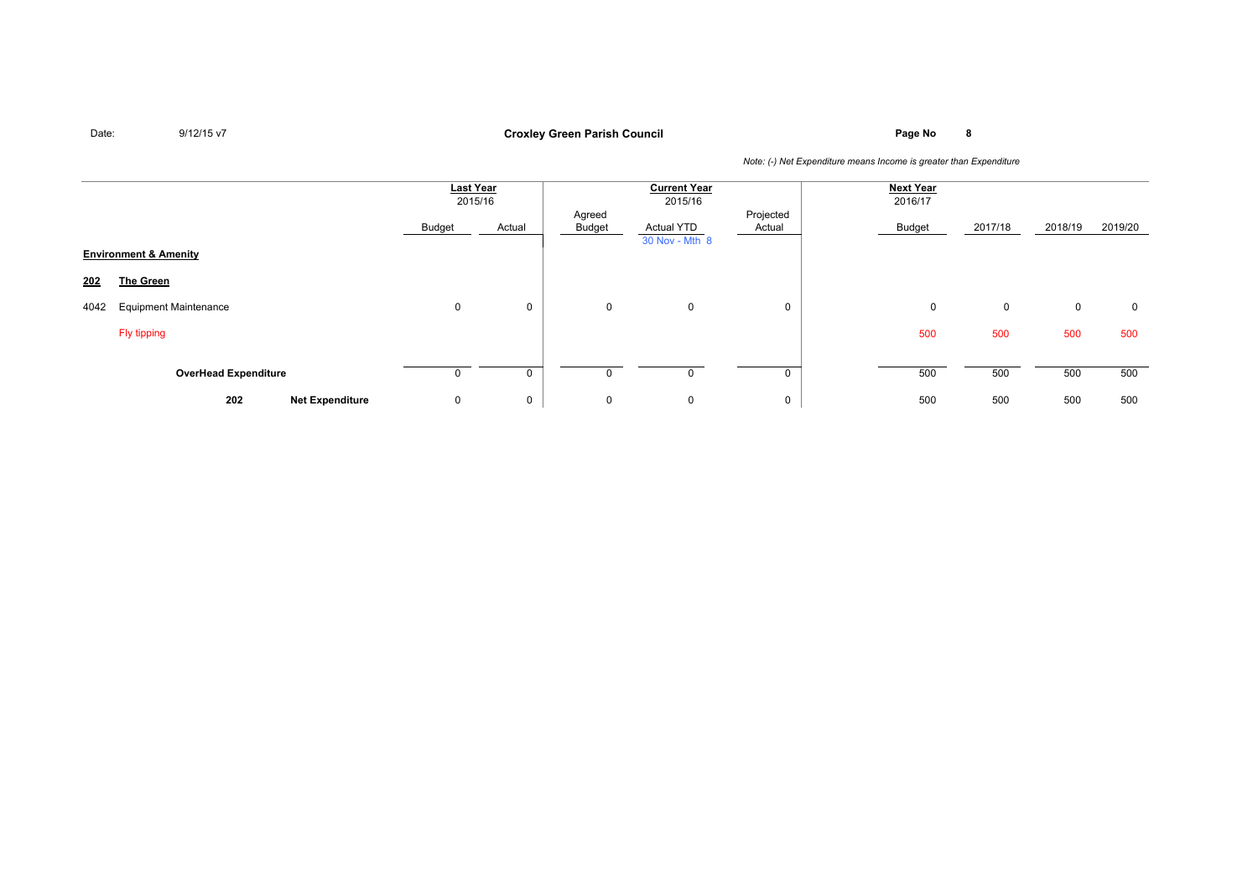# **Page No <sup>8</sup> Croxley Green Parish Council**

|      |                                  | <b>Last Year</b><br>2015/16 |        | <b>Current Year</b><br>2015/16 |                                     | <b>Next Year</b><br>2016/17 |        |         |         |         |
|------|----------------------------------|-----------------------------|--------|--------------------------------|-------------------------------------|-----------------------------|--------|---------|---------|---------|
|      |                                  | Budget                      | Actual | Agreed<br>Budget               | <b>Actual YTD</b><br>30 Nov - Mth 8 | Projected<br>Actual         | Budget | 2017/18 | 2018/19 | 2019/20 |
|      | <b>Environment &amp; Amenity</b> |                             |        |                                |                                     |                             |        |         |         |         |
| 202  | <b>The Green</b>                 |                             |        |                                |                                     |                             |        |         |         |         |
| 4042 | <b>Equipment Maintenance</b>     | 0                           | 0      | 0                              | $\mathbf 0$                         | 0                           | 0      | 0       | 0       | 0       |
|      | Fly tipping                      |                             |        |                                |                                     |                             | 500    | 500     | 500     | 500     |
|      | <b>OverHead Expenditure</b>      | 0                           | 0      |                                |                                     |                             | 500    | 500     | 500     | 500     |
|      | 202<br><b>Net Expenditure</b>    | 0                           | 0      | 0                              | $\mathbf 0$                         | 0                           | 500    | 500     | 500     | 500     |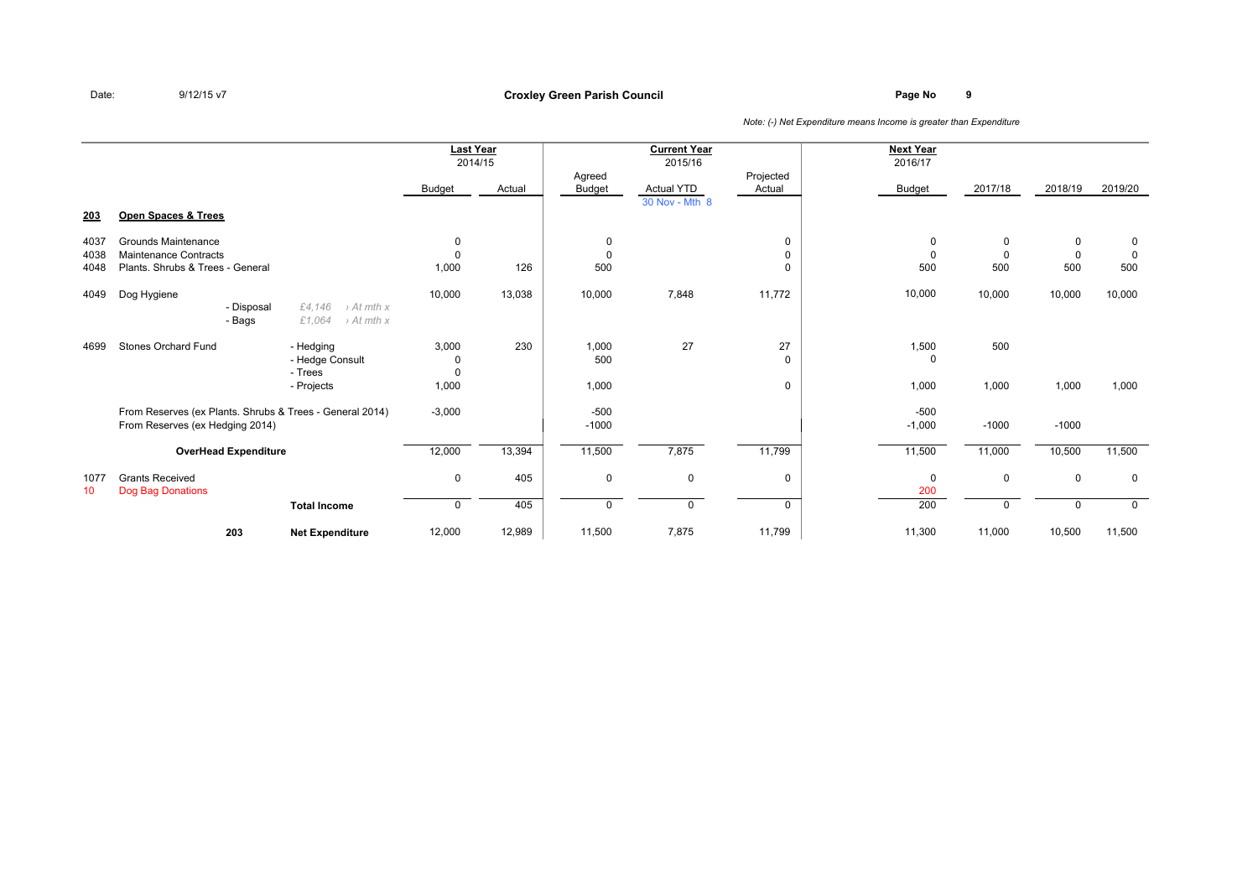## **Page No <sup>9</sup> Croxley Green Parish Council**

|                      |                                                                                             |                                                                      | <b>Last Year</b><br>2014/15 |        |                         | <b>Current Year</b><br>2015/16 |                     | <b>Next Year</b><br>2016/17 |                          |                                   |                         |
|----------------------|---------------------------------------------------------------------------------------------|----------------------------------------------------------------------|-----------------------------|--------|-------------------------|--------------------------------|---------------------|-----------------------------|--------------------------|-----------------------------------|-------------------------|
|                      |                                                                                             |                                                                      | <b>Budget</b>               | Actual | Agreed<br>Budget        | <b>Actual YTD</b>              | Projected<br>Actual | <b>Budget</b>               | 2017/18                  | 2018/19                           | 2019/20                 |
| 203                  | Open Spaces & Trees                                                                         |                                                                      |                             |        |                         | 30 Nov - Mth 8                 |                     |                             |                          |                                   |                         |
| 4037<br>4038<br>4048 | Grounds Maintenance<br>Maintenance Contracts<br>Plants, Shrubs & Trees - General            |                                                                      | 0<br>$\mathbf 0$<br>1,000   | 126    | 0<br>$\mathbf 0$<br>500 |                                | 0<br>0              | 0<br>$\Omega$<br>500        | 0<br>$\mathbf{0}$<br>500 | $\mathbf 0$<br>$\mathbf 0$<br>500 | 0<br>$\mathbf 0$<br>500 |
| 4049                 | Dog Hygiene<br>- Disposal<br>- Bags                                                         | £4,146<br>$\rightarrow$ At mth x<br>£1,064<br>$\rightarrow$ At mth x | 10,000                      | 13,038 | 10,000                  | 7,848                          | 11,772              | 10,000                      | 10,000                   | 10,000                            | 10,000                  |
| 4699                 | Stones Orchard Fund                                                                         | - Hedging<br>- Hedge Consult<br>- Trees                              | 3,000<br>0<br>$\Omega$      | 230    | 1,000<br>500            | 27                             | 27<br>0             | 1,500<br>$\Omega$           | 500                      |                                   |                         |
|                      |                                                                                             | - Projects                                                           | 1,000                       |        | 1,000                   |                                | 0                   | 1,000                       | 1,000                    | 1,000                             | 1,000                   |
|                      | From Reserves (ex Plants. Shrubs & Trees - General 2014)<br>From Reserves (ex Hedging 2014) |                                                                      | $-3,000$                    |        | $-500$<br>$-1000$       |                                |                     | $-500$<br>$-1,000$          | $-1000$                  | $-1000$                           |                         |
|                      | <b>OverHead Expenditure</b>                                                                 |                                                                      | 12,000                      | 13,394 | 11,500                  | 7,875                          | 11,799              | 11,500                      | 11,000                   | 10,500                            | 11,500                  |
| 1077<br>10           | <b>Grants Received</b><br>Dog Bag Donations                                                 |                                                                      | 0                           | 405    | 0                       | 0                              | 0                   | $\mathbf 0$<br>200          | 0                        | $\mathbf 0$                       | $\mathbf 0$             |
|                      |                                                                                             | <b>Total Income</b>                                                  | 0                           | 405    | 0                       | 0                              | 0                   | 200                         | $\mathbf{0}$             | $\mathbf 0$                       | $\mathbf 0$             |
|                      | 203                                                                                         | <b>Net Expenditure</b>                                               | 12,000                      | 12,989 | 11,500                  | 7,875                          | 11,799              | 11,300                      | 11,000                   | 10,500                            | 11,500                  |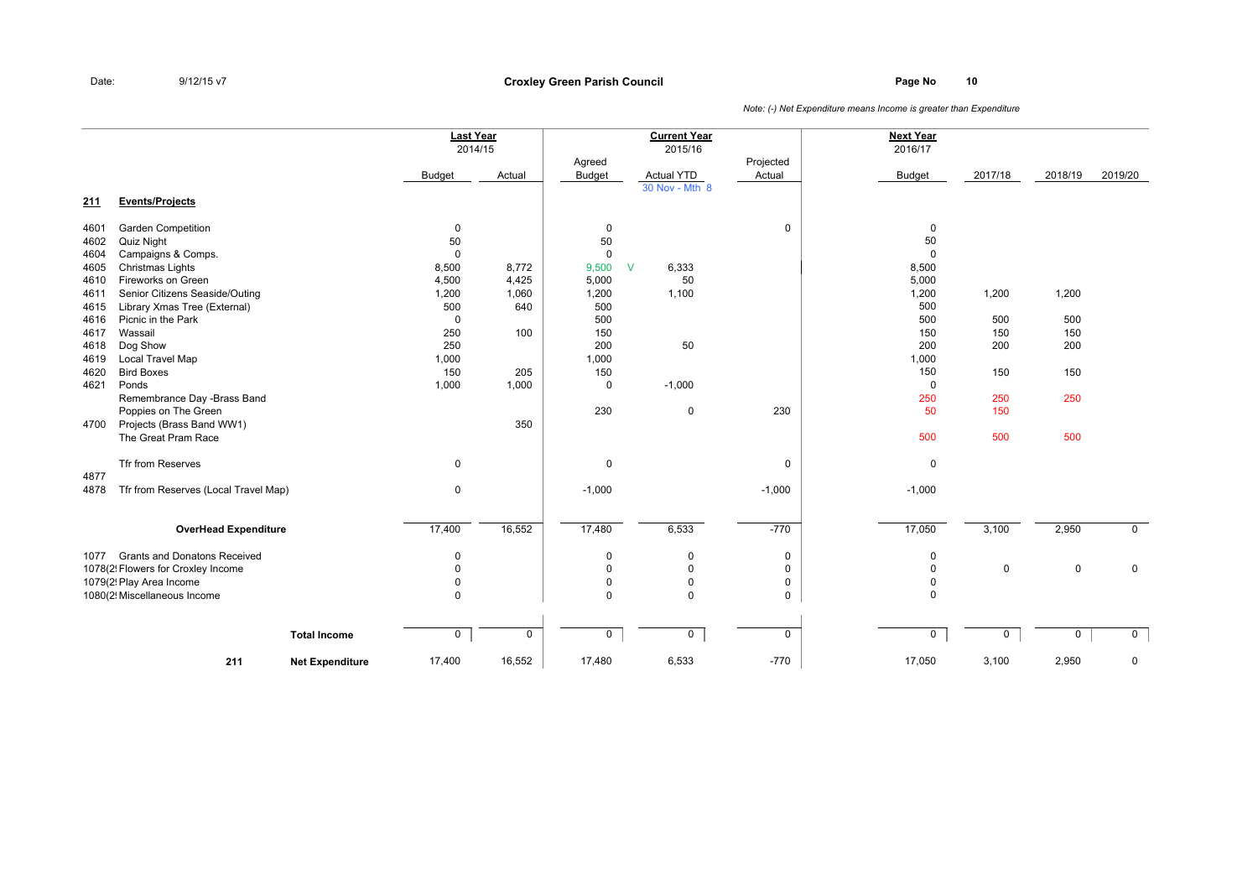### **Page No <sup>10</sup> Croxley Green Parish Council**

|            |                                      |                        | <b>Last Year</b><br>2014/15 |             |                         | <b>Current Year</b><br>2015/16 |                     | <b>Next Year</b><br>2016/17 |             |             |             |
|------------|--------------------------------------|------------------------|-----------------------------|-------------|-------------------------|--------------------------------|---------------------|-----------------------------|-------------|-------------|-------------|
|            |                                      |                        | <b>Budget</b>               | Actual      | Agreed<br><b>Budget</b> | <b>Actual YTD</b>              | Projected<br>Actual | <b>Budget</b>               | 2017/18     | 2018/19     | 2019/20     |
| <u>211</u> | <b>Events/Projects</b>               |                        |                             |             |                         | 30 Nov - Mth 8                 |                     |                             |             |             |             |
| 4601       | <b>Garden Competition</b>            |                        | $\mathbf 0$                 |             | 0                       |                                | 0                   | 0                           |             |             |             |
| 4602       | Quiz Night                           |                        | 50                          |             | 50                      |                                |                     | 50                          |             |             |             |
| 4604       | Campaigns & Comps.                   |                        | $\mathbf 0$                 |             | $\mathbf 0$             |                                |                     | $\mathbf 0$                 |             |             |             |
| 4605       | Christmas Lights                     |                        | 8,500                       | 8,772       | 9,500                   | $\mathsf{V}$<br>6,333          |                     | 8,500                       |             |             |             |
| 4610       | Fireworks on Green                   |                        | 4,500                       | 4,425       | 5,000                   | 50                             |                     | 5,000                       |             |             |             |
| 4611       | Senior Citizens Seaside/Outing       |                        | 1,200                       | 1,060       | 1,200                   | 1,100                          |                     | 1,200                       | 1,200       | 1,200       |             |
| 4615       | Library Xmas Tree (External)         |                        | 500                         | 640         | 500                     |                                |                     | 500                         |             |             |             |
| 4616       | Picnic in the Park                   |                        | $\mathbf 0$                 |             | 500                     |                                |                     | 500                         | 500         | 500         |             |
| 4617       | Wassail                              |                        | 250                         | 100         | 150                     |                                |                     | 150                         | 150         | 150         |             |
| 4618       | Dog Show                             |                        | 250                         |             | 200                     | 50                             |                     | 200                         | 200         | 200         |             |
| 4619       | Local Travel Map                     |                        | 1,000                       |             | 1,000                   |                                |                     | 1,000                       |             |             |             |
| 4620       | <b>Bird Boxes</b>                    |                        | 150                         | 205         | 150                     |                                |                     | 150                         | 150         | 150         |             |
| 4621       | Ponds                                |                        | 1,000                       | 1,000       | 0                       | $-1,000$                       |                     | $\mathbf 0$                 |             |             |             |
|            | Remembrance Day -Brass Band          |                        |                             |             |                         |                                |                     | 250                         | 250         | 250         |             |
|            | Poppies on The Green                 |                        |                             |             | 230                     | $\mathbf 0$                    | 230                 | 50                          | 150         |             |             |
| 4700       | Projects (Brass Band WW1)            |                        |                             | 350         |                         |                                |                     |                             |             |             |             |
|            | The Great Pram Race                  |                        |                             |             |                         |                                |                     | 500                         | 500         | 500         |             |
|            | Tfr from Reserves                    |                        | 0                           |             | $\mathbf 0$             |                                | $\mathbf 0$         | 0                           |             |             |             |
| 4877       |                                      |                        |                             |             |                         |                                |                     |                             |             |             |             |
| 4878       | Tfr from Reserves (Local Travel Map) |                        | 0                           |             | $-1,000$                |                                | $-1,000$            | $-1,000$                    |             |             |             |
|            | <b>OverHead Expenditure</b>          |                        | 17,400                      | 16,552      | 17,480                  | 6,533                          | $-770$              | 17,050                      | 3,100       | 2,950       | $\mathbf 0$ |
|            |                                      |                        |                             |             |                         |                                |                     |                             |             |             |             |
| 1077       | <b>Grants and Donatons Received</b>  |                        | $\mathbf 0$                 |             | $\mathbf 0$             | $\mathbf 0$                    | 0                   | $\mathbf 0$                 |             |             |             |
|            | 1078(2! Flowers for Croxley Income   |                        | $\mathbf 0$                 |             | $\mathbf 0$             | $\mathbf 0$                    | 0                   | $\mathbf 0$                 | $\mathbf 0$ | $\mathbf 0$ | $\mathbf 0$ |
|            | 1079(2! Play Area Income             |                        | $\Omega$                    |             | $\mathbf 0$             | $\mathbf 0$                    | $\mathbf 0$         | 0                           |             |             |             |
|            | 1080(2! Miscellaneous Income         |                        | $\mathbf 0$                 |             | $\Omega$                | $\Omega$                       | $\mathbf 0$         | $\Omega$                    |             |             |             |
|            |                                      | <b>Total Income</b>    | 0                           | $\mathsf 0$ | $\mathbf 0$             | 0                              | $\mathbf 0$         | $\mathbf 0$                 | 0           | 0           | 0           |
|            |                                      |                        |                             |             |                         |                                |                     |                             |             |             |             |
|            | 211                                  | <b>Net Expenditure</b> | 17,400                      | 16,552      | 17,480                  | 6,533                          | $-770$              | 17,050                      | 3,100       | 2,950       | $\mathbf 0$ |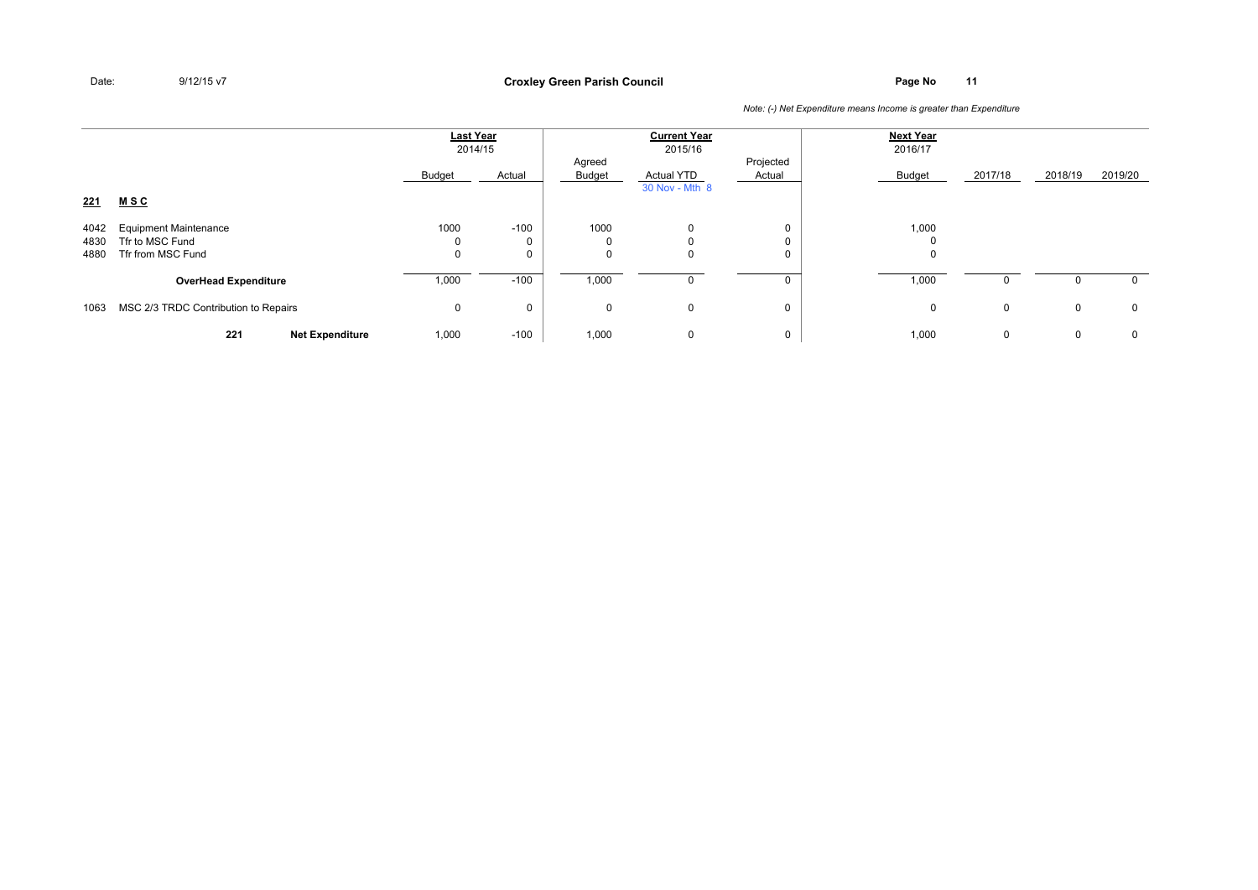**Page No <sup>11</sup> Croxley Green Parish Council**

|              |                                                 | <b>Last Year</b><br>2014/15 |          | <b>Current Year</b><br>2015/16 |                                     |                     | <b>Next Year</b><br>2016/17 |              |         |             |
|--------------|-------------------------------------------------|-----------------------------|----------|--------------------------------|-------------------------------------|---------------------|-----------------------------|--------------|---------|-------------|
| 221          | <u>MSC</u>                                      | Budget                      | Actual   | Agreed<br>Budget               | <b>Actual YTD</b><br>30 Nov - Mth 8 | Projected<br>Actual | <b>Budget</b>               | 2017/18      | 2018/19 | 2019/20     |
|              |                                                 |                             |          |                                |                                     |                     |                             |              |         |             |
| 4042<br>4830 | <b>Equipment Maintenance</b><br>Tfr to MSC Fund | 1000<br>0                   | $-100$   | 1000<br>0                      | $\mathbf{0}$                        | 0<br>0              | 1,000<br>$\Omega$           |              |         |             |
| 4880         | Tfr from MSC Fund                               | 0                           |          | 0                              | 0                                   | 0                   | 0                           |              |         |             |
|              | <b>OverHead Expenditure</b>                     | 1,000                       | $-100$   | 1,000                          |                                     |                     | 1,000                       | <sup>0</sup> | 0       | 0           |
| 1063         | MSC 2/3 TRDC Contribution to Repairs            | 0                           | $\Omega$ | 0                              | 0                                   | 0                   | 0                           | $\mathbf 0$  | 0       | $\mathbf 0$ |
|              | 221<br><b>Net Expenditure</b>                   | 1,000                       | $-100$   | 1,000                          | 0                                   | 0                   | 1,000                       | 0            | 0       | 0           |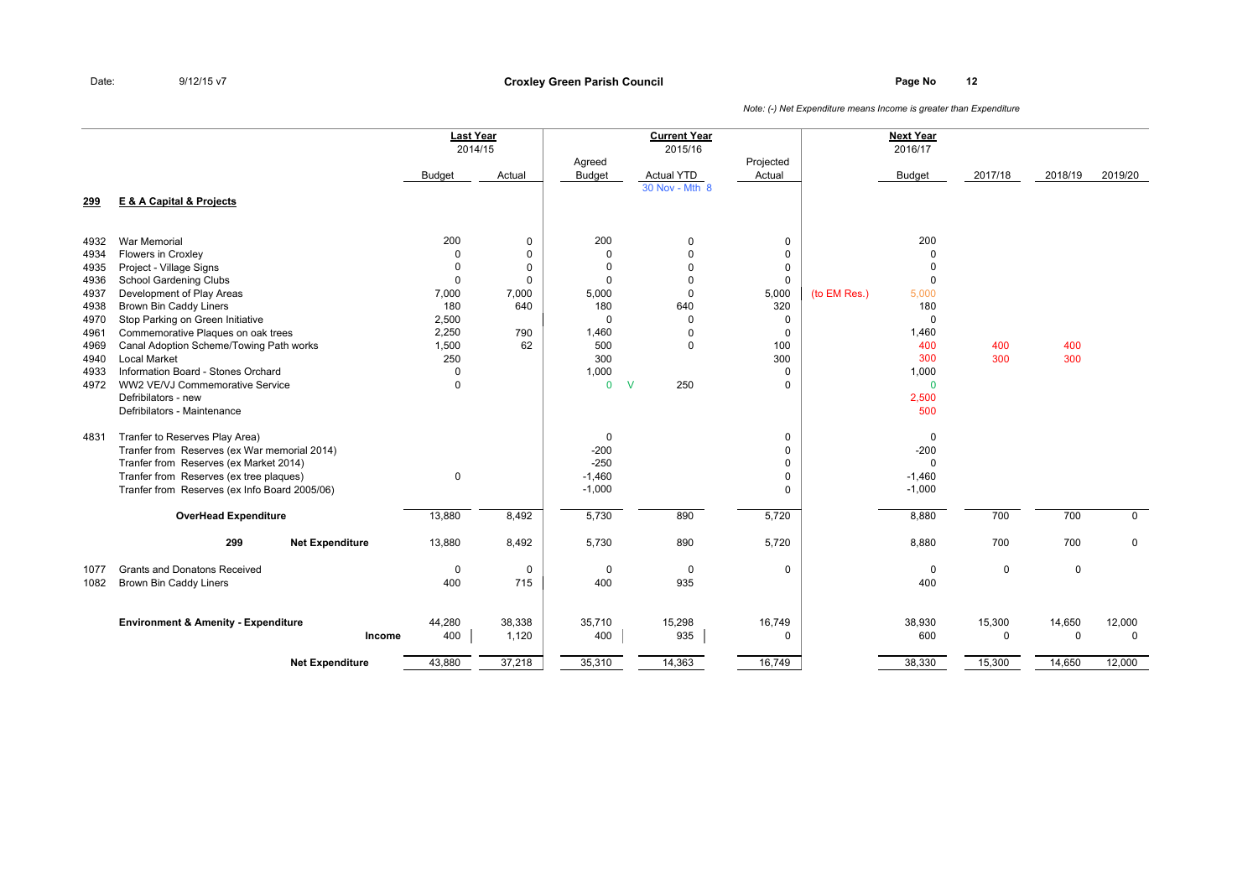### **Page No <sup>12</sup> Croxley Green Parish Council**

|              |                                                                | <b>Last Year</b> | 2014/15      |                         | <b>Current Year</b><br>2015/16 |                     |              | <b>Next Year</b><br>2016/17 |             |             |             |
|--------------|----------------------------------------------------------------|------------------|--------------|-------------------------|--------------------------------|---------------------|--------------|-----------------------------|-------------|-------------|-------------|
|              |                                                                | <b>Budget</b>    | Actual       | Agreed<br><b>Budget</b> | <b>Actual YTD</b>              | Projected<br>Actual |              | <b>Budget</b>               | 2017/18     | 2018/19     | 2019/20     |
| 299          | <b>E &amp; A Capital &amp; Projects</b>                        |                  |              |                         | 30 Nov - Mth 8                 |                     |              |                             |             |             |             |
| 4932         | War Memorial                                                   | 200              | $\mathbf 0$  | 200                     | $\pmb{0}$                      | 0                   |              | 200                         |             |             |             |
| 4934         | Flowers in Croxley                                             | $\Omega$         | $\mathbf 0$  | $\mathbf 0$             | $\mathbf 0$                    | $\mathbf 0$         |              | $\Omega$                    |             |             |             |
| 4935         | Project - Village Signs                                        | 0                | $\mathbf 0$  | 0                       | $\Omega$                       | 0                   |              | $\Omega$                    |             |             |             |
| 4936         | School Gardening Clubs                                         | $\mathbf 0$      | $\mathbf{0}$ | $\Omega$                | $\Omega$                       | $\mathbf 0$         |              | $\Omega$                    |             |             |             |
| 4937         | Development of Play Areas                                      | 7,000            | 7,000        | 5,000                   | $\mathbf 0$                    | 5,000               | (to EM Res.) | 5,000                       |             |             |             |
| 4938         | <b>Brown Bin Caddy Liners</b>                                  | 180              | 640          | 180                     | 640                            | 320                 |              | 180                         |             |             |             |
| 4970         | Stop Parking on Green Initiative                               | 2,500            |              | $\Omega$                | 0                              | 0                   |              | 0                           |             |             |             |
| 4961         | Commemorative Plaques on oak trees                             | 2,250            | 790          | 1,460                   | $\mathbf 0$                    | $\mathbf 0$         |              | 1,460                       |             | 400         |             |
| 4969<br>4940 | Canal Adoption Scheme/Towing Path works<br><b>Local Market</b> | 1,500<br>250     | 62           | 500<br>300              | $\mathbf 0$                    | 100<br>300          |              | 400<br>300                  | 400<br>300  | 300         |             |
| 4933         | Information Board - Stones Orchard                             | 0                |              | 1,000                   |                                | $\mathbf 0$         |              | 1,000                       |             |             |             |
| 4972         | WW2 VE/VJ Commemorative Service                                | $\Omega$         |              | $\mathbf{0}$            | 250<br>$\vee$                  | $\Omega$            |              | $\mathbf 0$                 |             |             |             |
|              | Defribilators - new                                            |                  |              |                         |                                |                     |              | 2,500                       |             |             |             |
|              | Defribilators - Maintenance                                    |                  |              |                         |                                |                     |              | 500                         |             |             |             |
| 4831         | Tranfer to Reserves Play Area)                                 |                  |              | 0                       |                                | 0                   |              | $\mathbf 0$                 |             |             |             |
|              | Tranfer from Reserves (ex War memorial 2014)                   |                  |              | $-200$                  |                                | $\mathbf 0$         |              | $-200$                      |             |             |             |
|              | Tranfer from Reserves (ex Market 2014)                         |                  |              | $-250$                  |                                | 0                   |              | $\mathbf 0$                 |             |             |             |
|              | Tranfer from Reserves (ex tree plaques)                        | $\mathbf 0$      |              | $-1,460$                |                                | 0                   |              | $-1,460$                    |             |             |             |
|              | Tranfer from Reserves (ex Info Board 2005/06)                  |                  |              | $-1,000$                |                                | $\Omega$            |              | $-1,000$                    |             |             |             |
|              | <b>OverHead Expenditure</b>                                    | 13,880           | 8,492        | 5,730                   | 890                            | 5,720               |              | 8,880                       | 700         | 700         | $\mathbf 0$ |
|              | 299<br><b>Net Expenditure</b>                                  | 13,880           | 8,492        | 5,730                   | 890                            | 5,720               |              | 8,880                       | 700         | 700         | $\mathbf 0$ |
| 1077         | <b>Grants and Donatons Received</b>                            | $\mathbf 0$      | $\mathbf 0$  | $\mathbf 0$             | $\mathbf 0$                    | $\mathbf 0$         |              | $\mathbf 0$                 | $\mathbf 0$ | $\mathbf 0$ |             |
| 1082         | Brown Bin Caddy Liners                                         | 400              | 715          | 400                     | 935                            |                     |              | 400                         |             |             |             |
|              | <b>Environment &amp; Amenity - Expenditure</b>                 | 44,280           | 38,338       | 35,710                  | 15,298                         | 16,749              |              | 38,930                      | 15,300      | 14,650      | 12,000      |
|              | Income                                                         | 400              | 1,120        | 400                     | 935                            | 0                   |              | 600                         | 0           | $\mathbf 0$ | $\mathbf 0$ |
|              | <b>Net Expenditure</b>                                         | 43,880           | 37,218       | 35,310                  | 14,363                         | 16,749              |              | 38,330                      | 15,300      | 14,650      | 12,000      |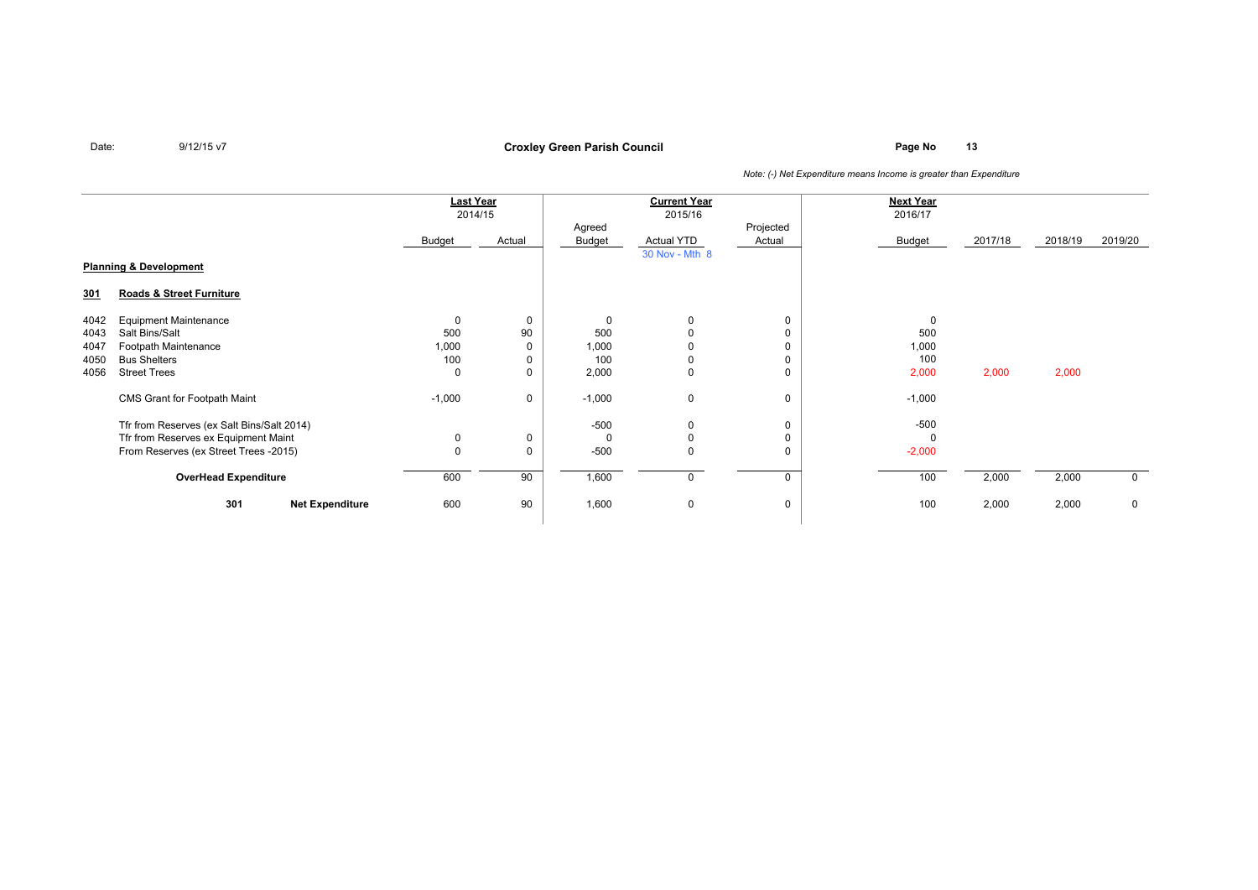**Page No <sup>13</sup> Croxley Green Parish Council**

|                                   |                                            | <b>Last Year</b><br>2014/15 |        | <b>Current Year</b><br>2015/16 |                   |        | <b>Next Year</b><br>2016/17 |         |         |             |
|-----------------------------------|--------------------------------------------|-----------------------------|--------|--------------------------------|-------------------|--------|-----------------------------|---------|---------|-------------|
|                                   |                                            |                             |        | Projected<br>Agreed            |                   |        |                             |         |         |             |
|                                   |                                            | Budget                      | Actual | Budget                         | <b>Actual YTD</b> | Actual | Budget                      | 2017/18 | 2018/19 | 2019/20     |
|                                   |                                            |                             |        |                                | 30 Nov - Mth 8    |        |                             |         |         |             |
| <b>Planning &amp; Development</b> |                                            |                             |        |                                |                   |        |                             |         |         |             |
| <u>301</u>                        | Roads & Street Furniture                   |                             |        |                                |                   |        |                             |         |         |             |
| 4042                              | <b>Equipment Maintenance</b>               | 0                           | 0      | 0                              | 0                 |        | 0                           |         |         |             |
| 4043                              | Salt Bins/Salt                             | 500                         | 90     | 500                            |                   |        | 500                         |         |         |             |
| 4047                              | Footpath Maintenance                       | 1,000                       |        | 1,000                          |                   |        | 1,000                       |         |         |             |
| 4050                              | <b>Bus Shelters</b>                        | 100                         |        | 100                            | 0                 |        | 100                         |         |         |             |
| 4056                              | <b>Street Trees</b>                        | 0                           |        | 2,000                          | 0                 |        | 2,000                       | 2,000   | 2,000   |             |
|                                   | CMS Grant for Footpath Maint               | $-1,000$                    | 0      | $-1,000$                       | $\mathbf 0$       | 0      | $-1,000$                    |         |         |             |
|                                   | Tfr from Reserves (ex Salt Bins/Salt 2014) |                             |        | -500                           | 0                 |        | $-500$                      |         |         |             |
|                                   | Tfr from Reserves ex Equipment Maint       | 0                           |        | 0                              | $\mathbf 0$       |        |                             |         |         |             |
|                                   | From Reserves (ex Street Trees -2015)      | 0                           | 0      | $-500$                         | $\Omega$          |        | $-2,000$                    |         |         |             |
|                                   | <b>OverHead Expenditure</b>                | 600                         | 90     | 1,600                          | 0                 | 0      | 100                         | 2,000   | 2,000   | $\mathbf 0$ |
|                                   | 301<br><b>Net Expenditure</b>              | 600                         | 90     | 1,600                          | $\mathbf 0$       | 0      | 100                         | 2,000   | 2,000   | $\mathbf 0$ |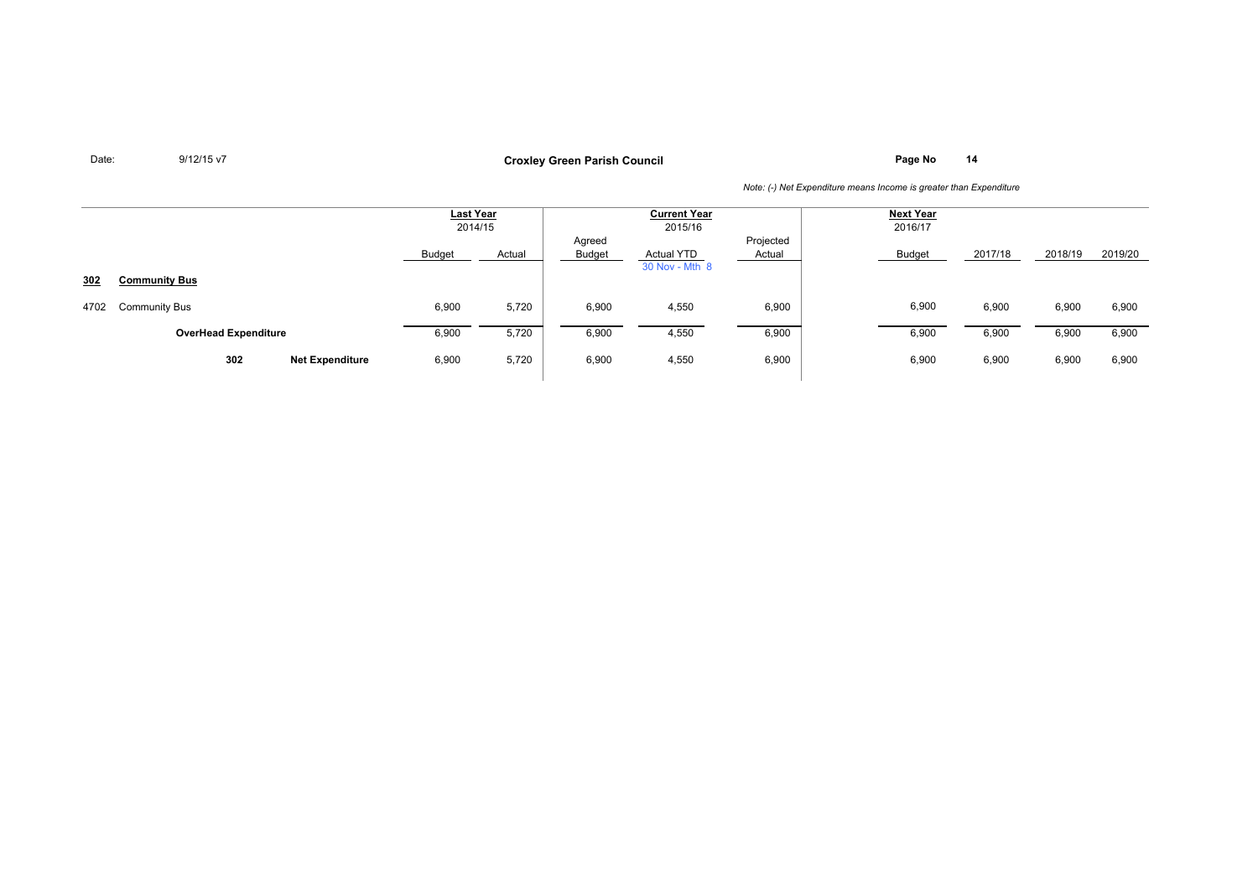**Page No <sup>14</sup> Croxley Green Parish Council**

|      |                               | <b>Last Year</b><br>2014/15 |        | <b>Current Year</b><br>2015/16 |                                     |                     | <b>Next Year</b><br>2016/17 |         |         |         |
|------|-------------------------------|-----------------------------|--------|--------------------------------|-------------------------------------|---------------------|-----------------------------|---------|---------|---------|
|      |                               | Budget                      | Actual | Agreed<br><b>Budget</b>        | <b>Actual YTD</b><br>30 Nov - Mth 8 | Projected<br>Actual | Budget                      | 2017/18 | 2018/19 | 2019/20 |
| 302  | <b>Community Bus</b>          |                             |        |                                |                                     |                     |                             |         |         |         |
| 4702 | <b>Community Bus</b>          | 6,900                       | 5,720  | 6,900                          | 4,550                               | 6,900               | 6,900                       | 6,900   | 6,900   | 6,900   |
|      | <b>OverHead Expenditure</b>   | 6,900                       | 5,720  | 6,900                          | 4,550                               | 6,900               | 6,900                       | 6,900   | 6,900   | 6,900   |
|      | 302<br><b>Net Expenditure</b> | 6,900                       | 5,720  | 6,900                          | 4,550                               | 6,900               | 6,900                       | 6,900   | 6,900   | 6,900   |